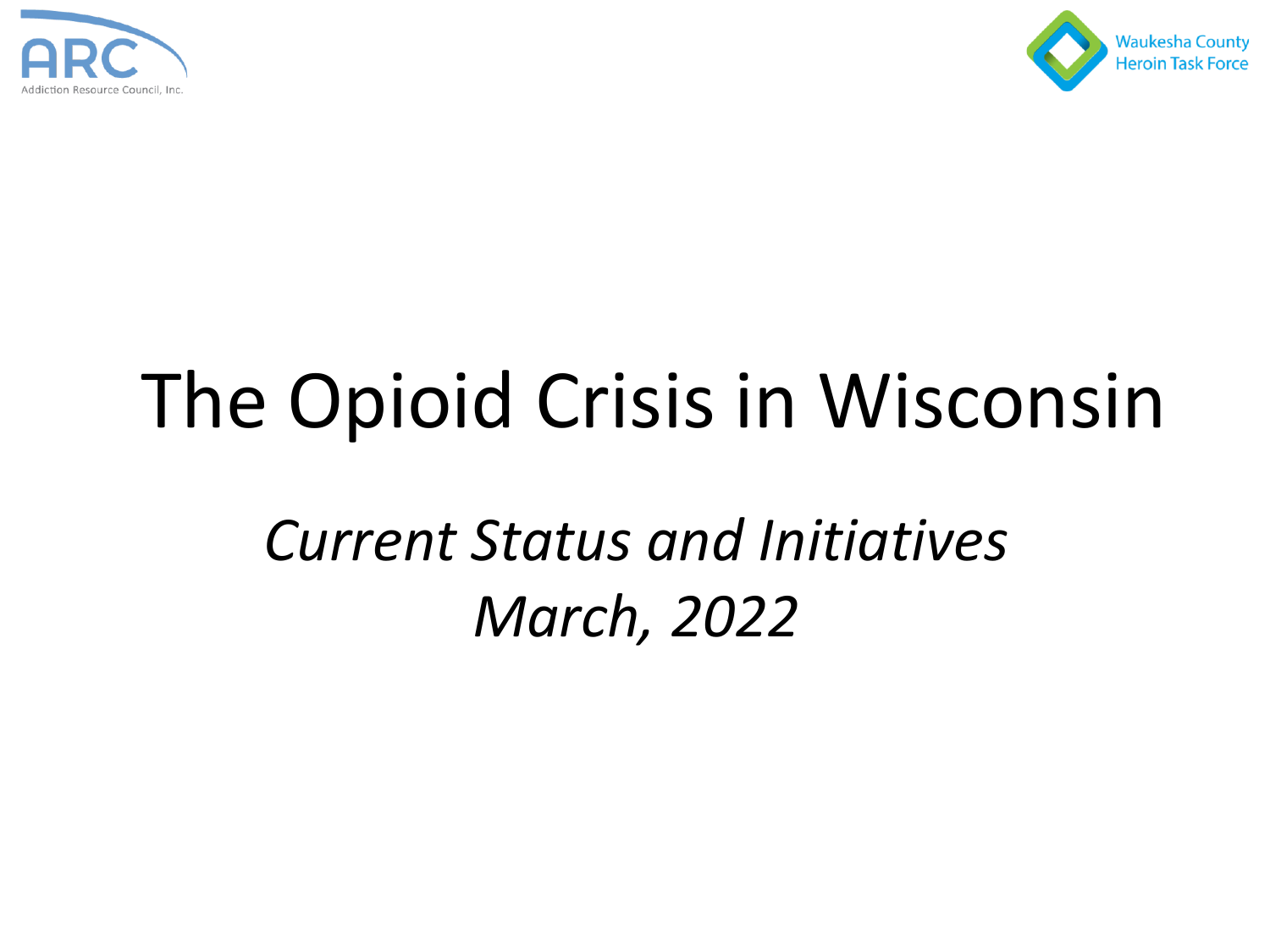



# The Opioid Crisis in Wisconsin

*Current Status and Initiatives March, 2022*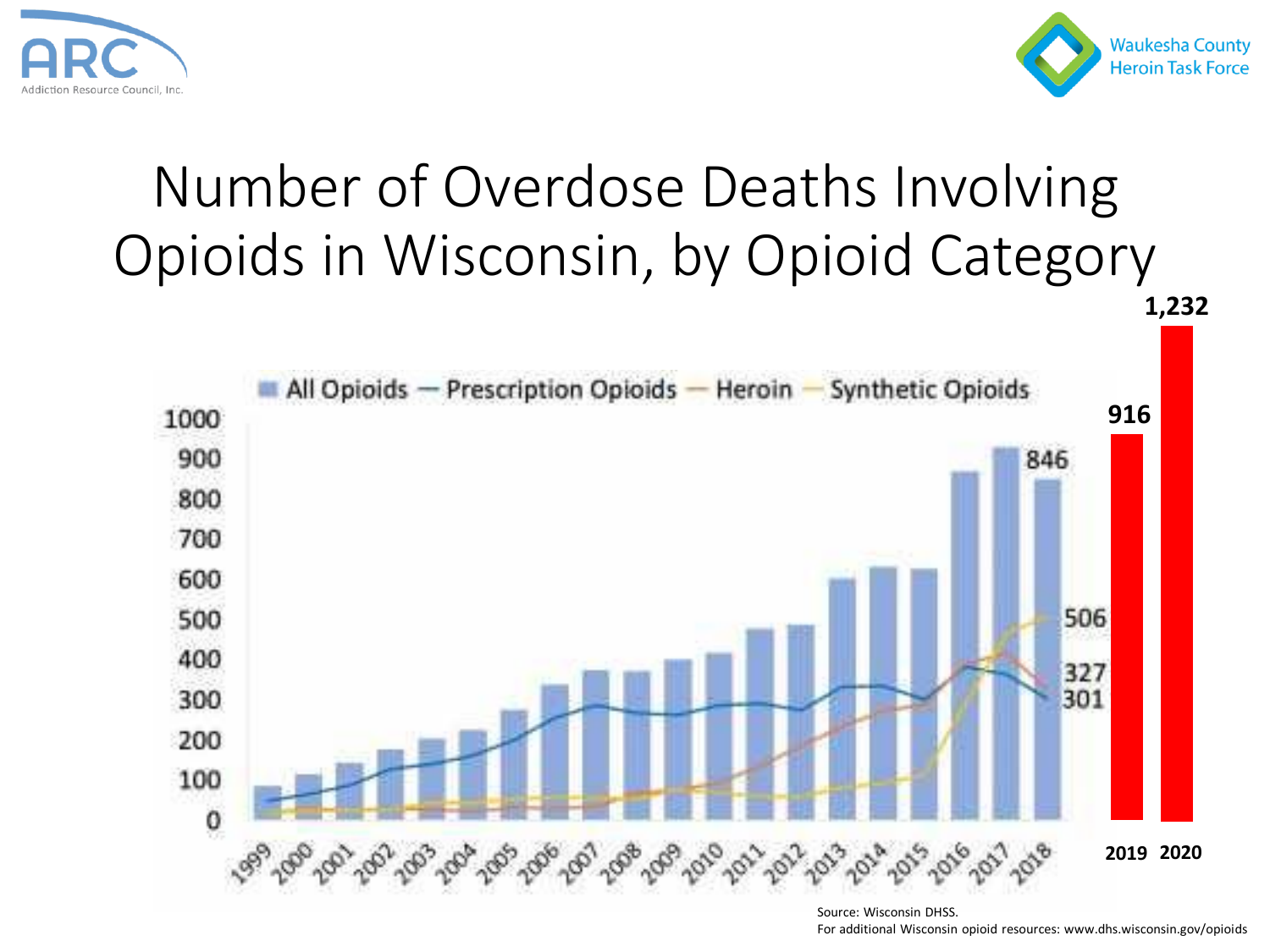



**1,232**

## Number of Overdose Deaths Involving Opioids in Wisconsin, by Opioid Category



Source: Wisconsin DHSS. For additional Wisconsin opioid resources: www.dhs.wisconsin.gov/opioids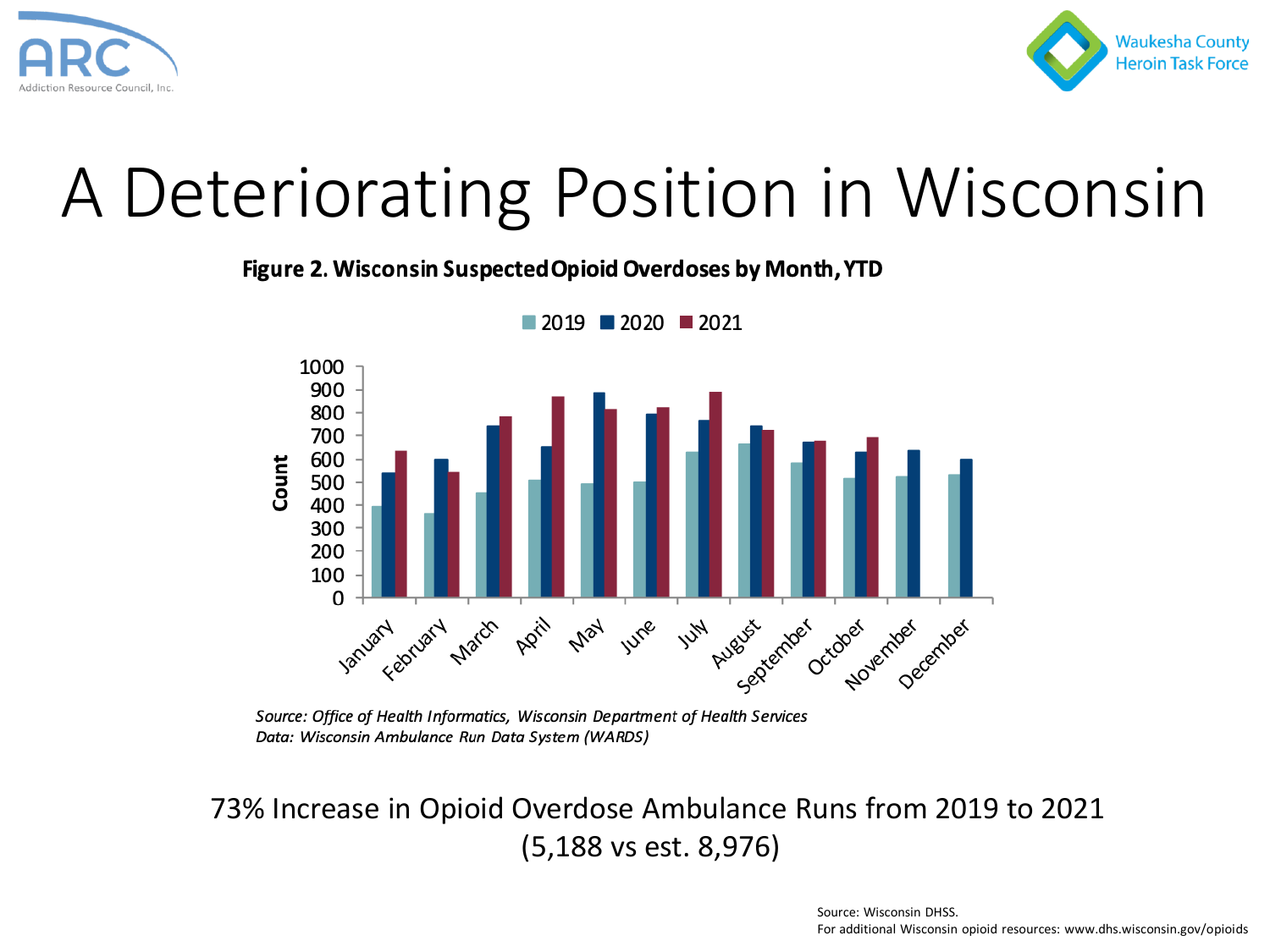



## A Deteriorating Position in Wisconsin

Figure 2. Wisconsin Suspected Opioid Overdoses by Month, YTD



 $2019$  2020 2021

73% Increase in Opioid Overdose Ambulance Runs from 2019 to 2021 (5,188 vs est. 8,976)

Source: Office of Health Informatics, Wisconsin Department of Health Services Data: Wisconsin Ambulance Run Data System (WARDS)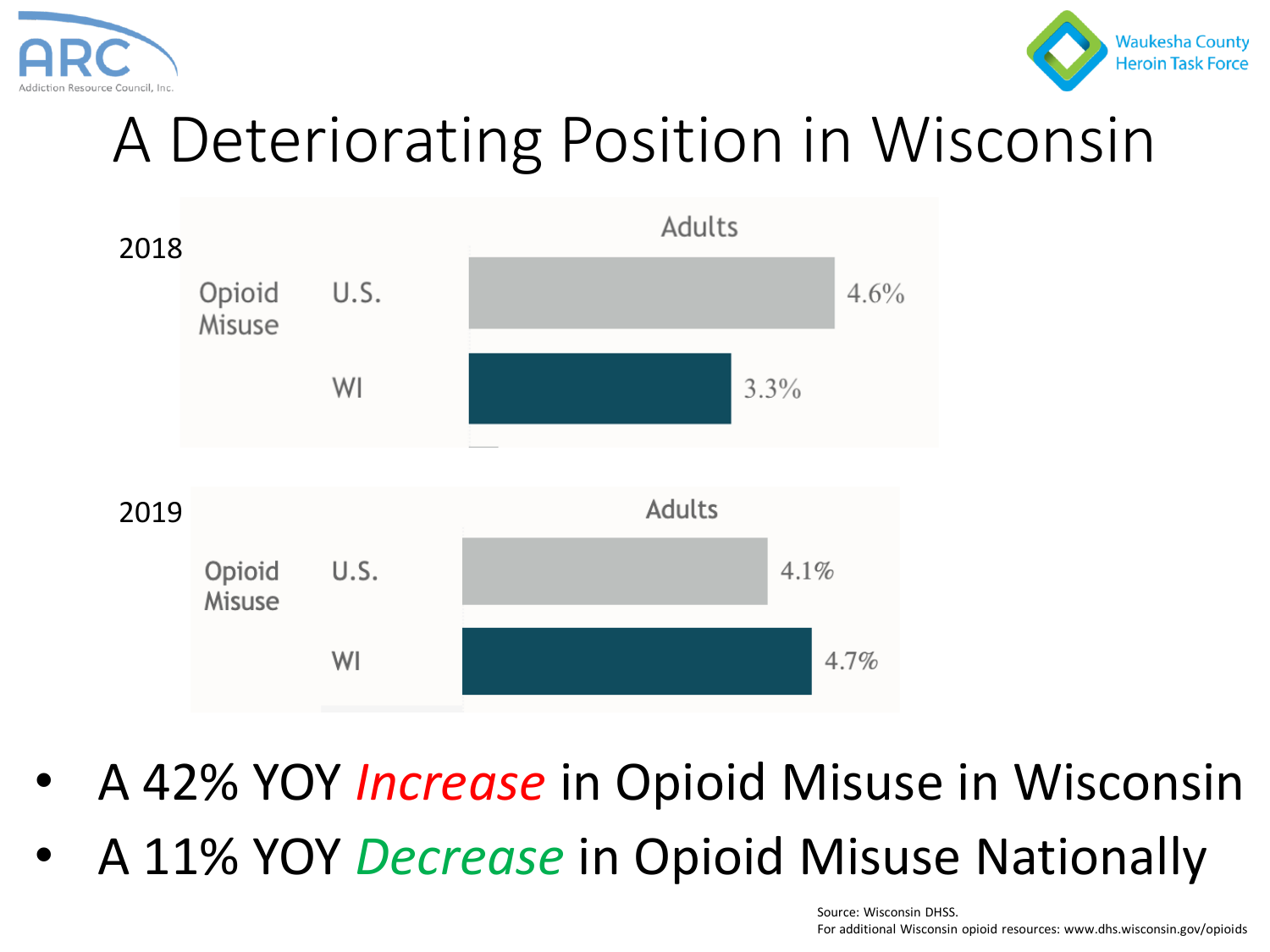



## A Deteriorating Position in Wisconsin



- A 42% YOY *Increase* in Opioid Misuse in Wisconsin
- A 11% YOY *Decrease* in Opioid Misuse Nationally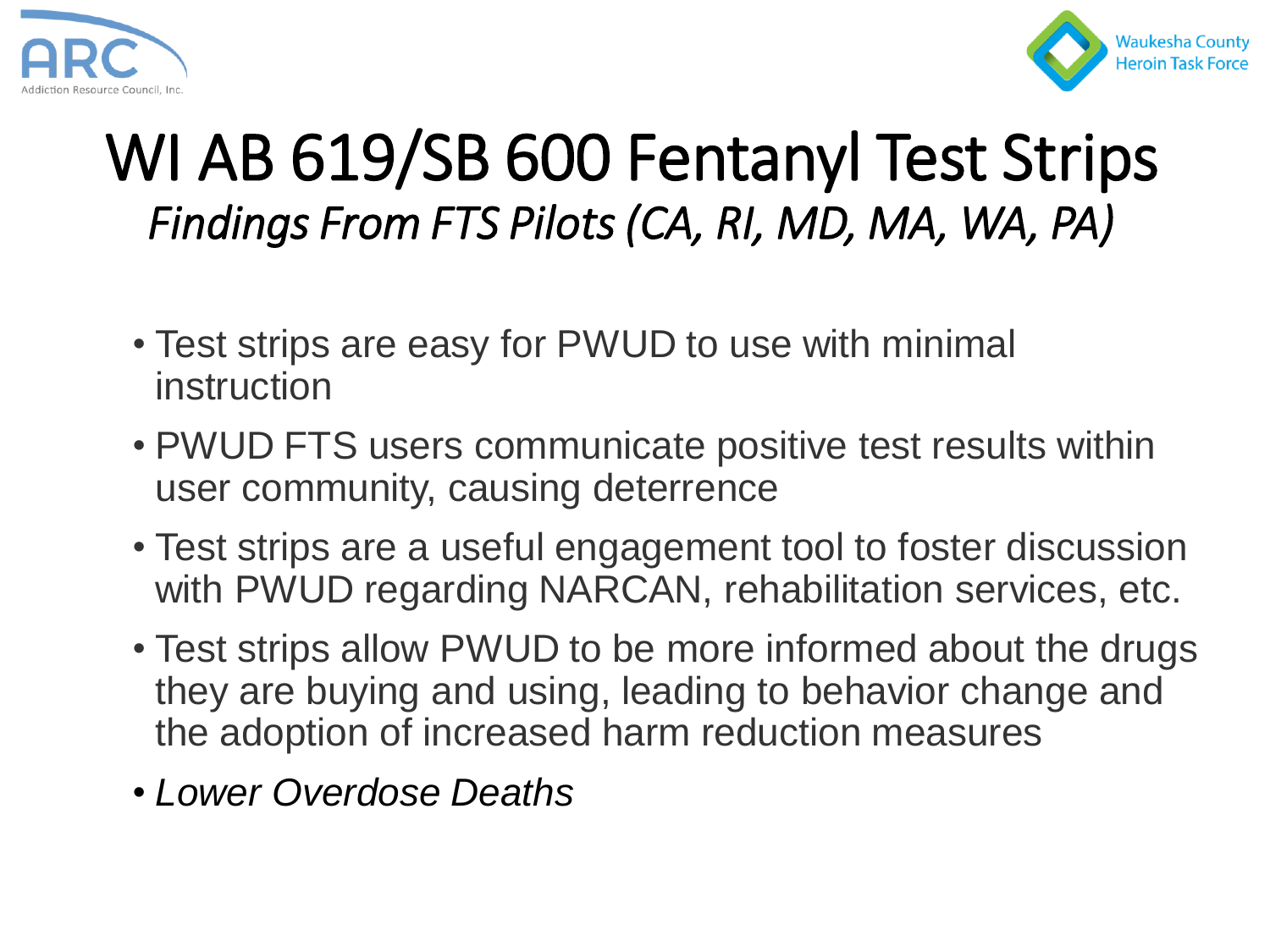



## WI AB 619/SB 600 Fentanyl Test Strips *Findings From FTS Pilots (CA, RI, MD, MA, WA, PA)*

- Test strips are easy for PWUD to use with minimal instruction
- PWUD FTS users communicate positive test results within user community, causing deterrence
- Test strips are a useful engagement tool to foster discussion with PWUD regarding NARCAN, rehabilitation services, etc.
- Test strips allow PWUD to be more informed about the drugs they are buying and using, leading to behavior change and the adoption of increased harm reduction measures
- *Lower Overdose Deaths*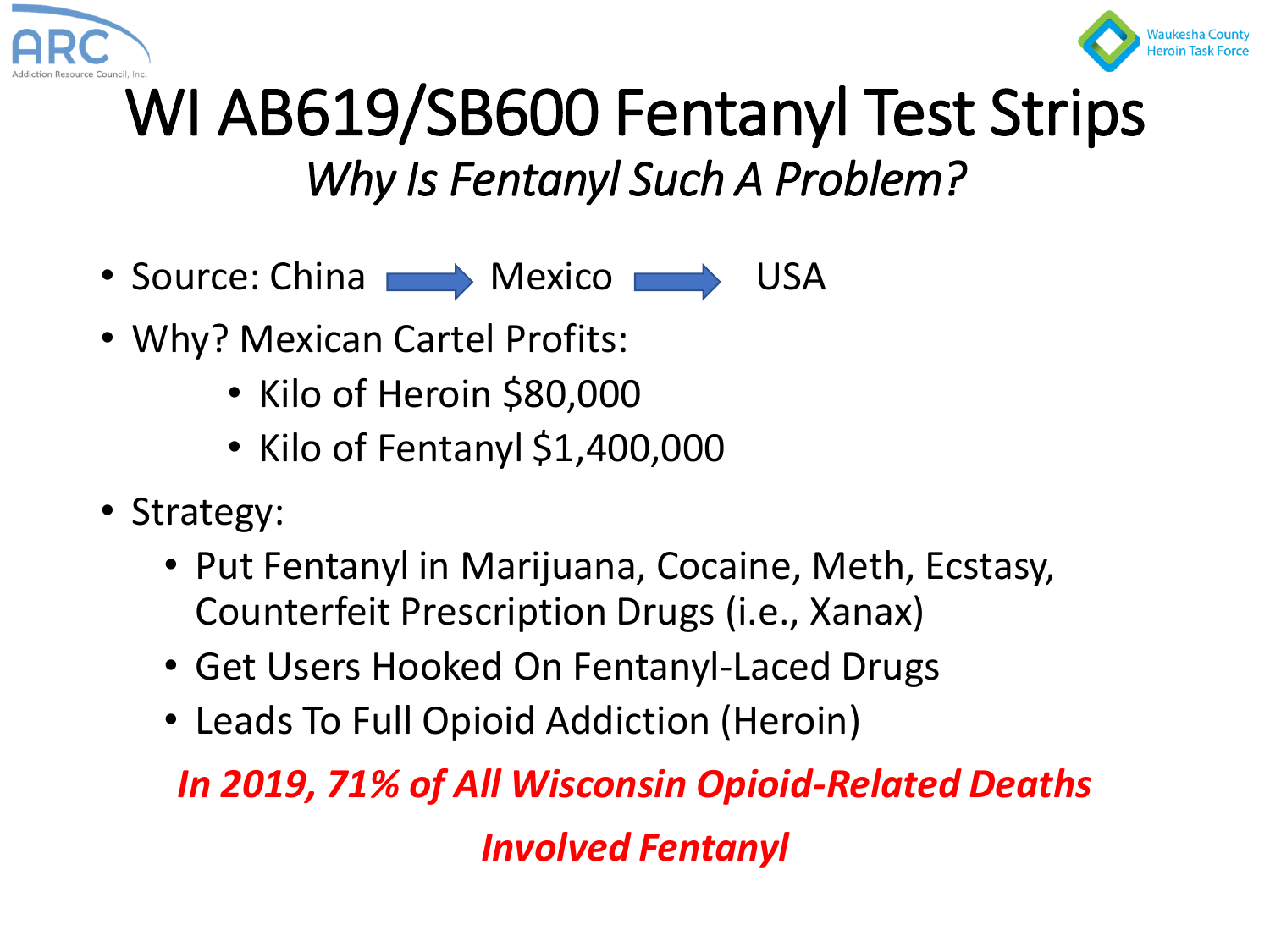



## WI AB619/SB600 Fentanyl Test Strips *Why Is Fentanyl Such A Problem?*

- Source: China **Nexico** Mexico **Nexico** USA
- Why? Mexican Cartel Profits:
	- Kilo of Heroin \$80,000
	- Kilo of Fentanyl \$1,400,000
- Strategy:
	- Put Fentanyl in Marijuana, Cocaine, Meth, Ecstasy, Counterfeit Prescription Drugs (i.e., Xanax)
	- Get Users Hooked On Fentanyl-Laced Drugs
	- Leads To Full Opioid Addiction (Heroin)

*In 2019, 71% of All Wisconsin Opioid-Related Deaths Involved Fentanyl*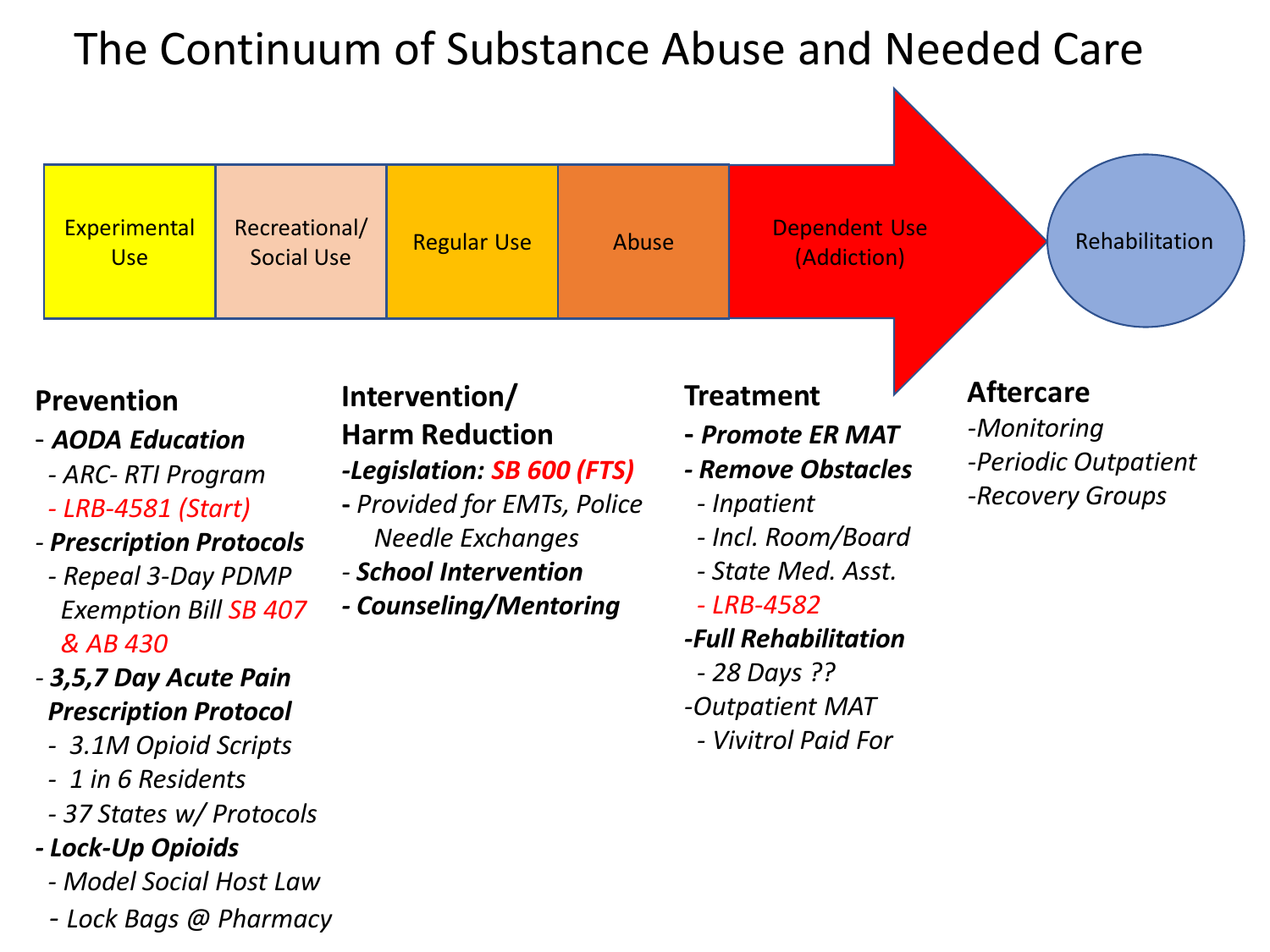### The Continuum of Substance Abuse and Needed Care



#### **Prevention**

- *AODA Education*
- *- ARC- RTI Program*
- *- LRB-4581 (Start)*
- *- Prescription Protocols*
- *- Repeal 3-Day PDMP Exemption Bill SB 407 & AB 430*
- *- 3,5,7 Day Acute Pain Prescription Protocol*
- *- 3.1M Opioid Scripts*
- *- 1 in 6 Residents*
- *- 37 States w/ Protocols*
- *- Lock-Up Opioids*
- *- Model Social Host Law*
- *- Lock Bags @ Pharmacy*

#### **Intervention/ Harm Reduction**

- *-Legislation: SB 600 (FTS)*
- **-** *Provided for EMTs, Police Needle Exchanges*
- *- School Intervention*
- *- Counseling/Mentoring*

#### **Treatment**

- **-** *Promote ER MAT*
- *- Remove Obstacles*
- *- Inpatient*
- *- Incl. Room/Board*
- *- State Med. Asst.*
- *- LRB-4582*
- *-Full Rehabilitation*
- *- 28 Days ??*
- *-Outpatient MAT*
- *- Vivitrol Paid For*

#### **Aftercare**

*-Monitoring -Periodic Outpatient -Recovery Groups*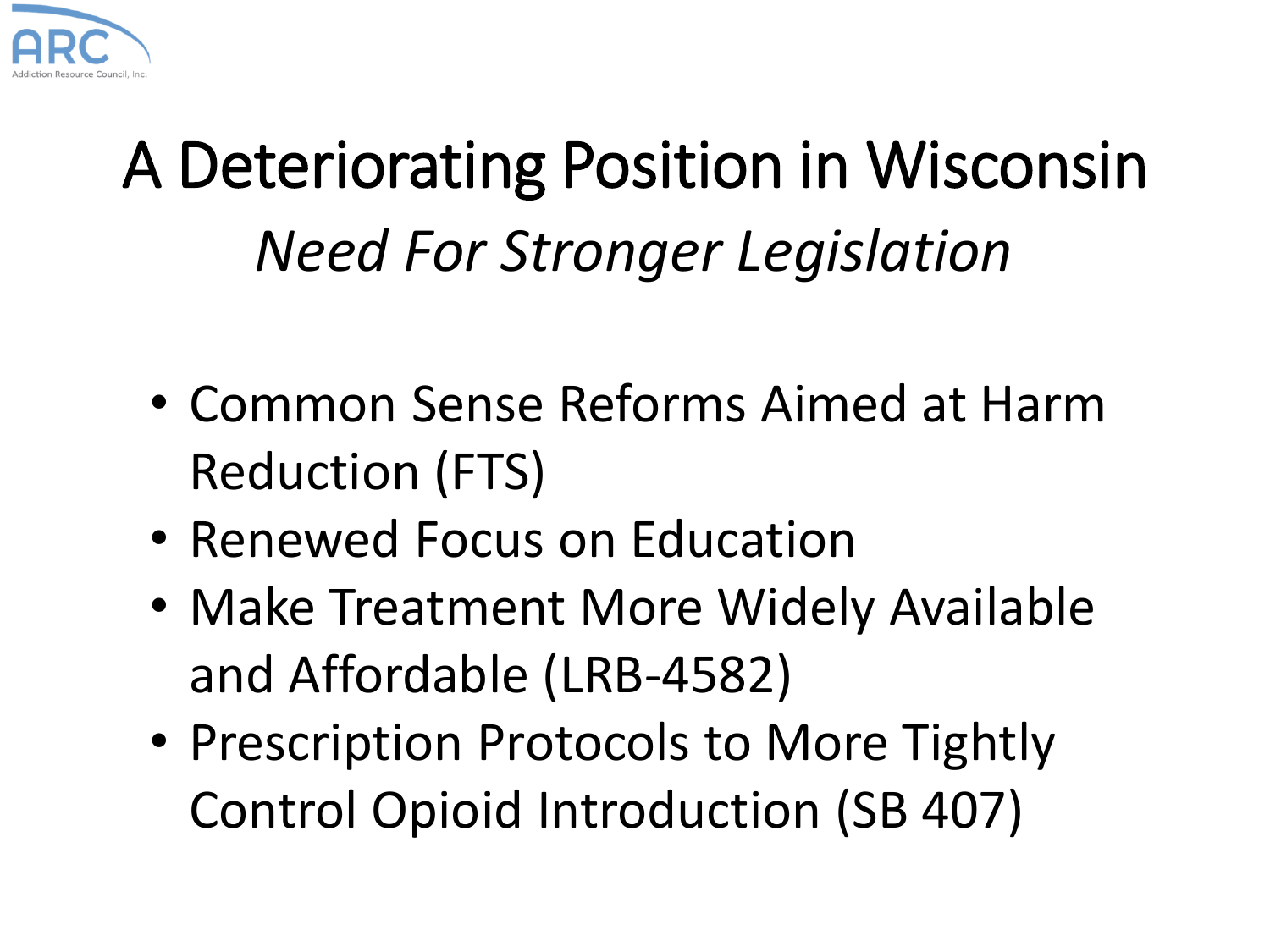

## A Deteriorating Position in Wisconsin *Need For Stronger Legislation*

- Common Sense Reforms Aimed at Harm Reduction (FTS)
- Renewed Focus on Education
- Make Treatment More Widely Available and Affordable (LRB-4582)
- Prescription Protocols to More Tightly Control Opioid Introduction (SB 407)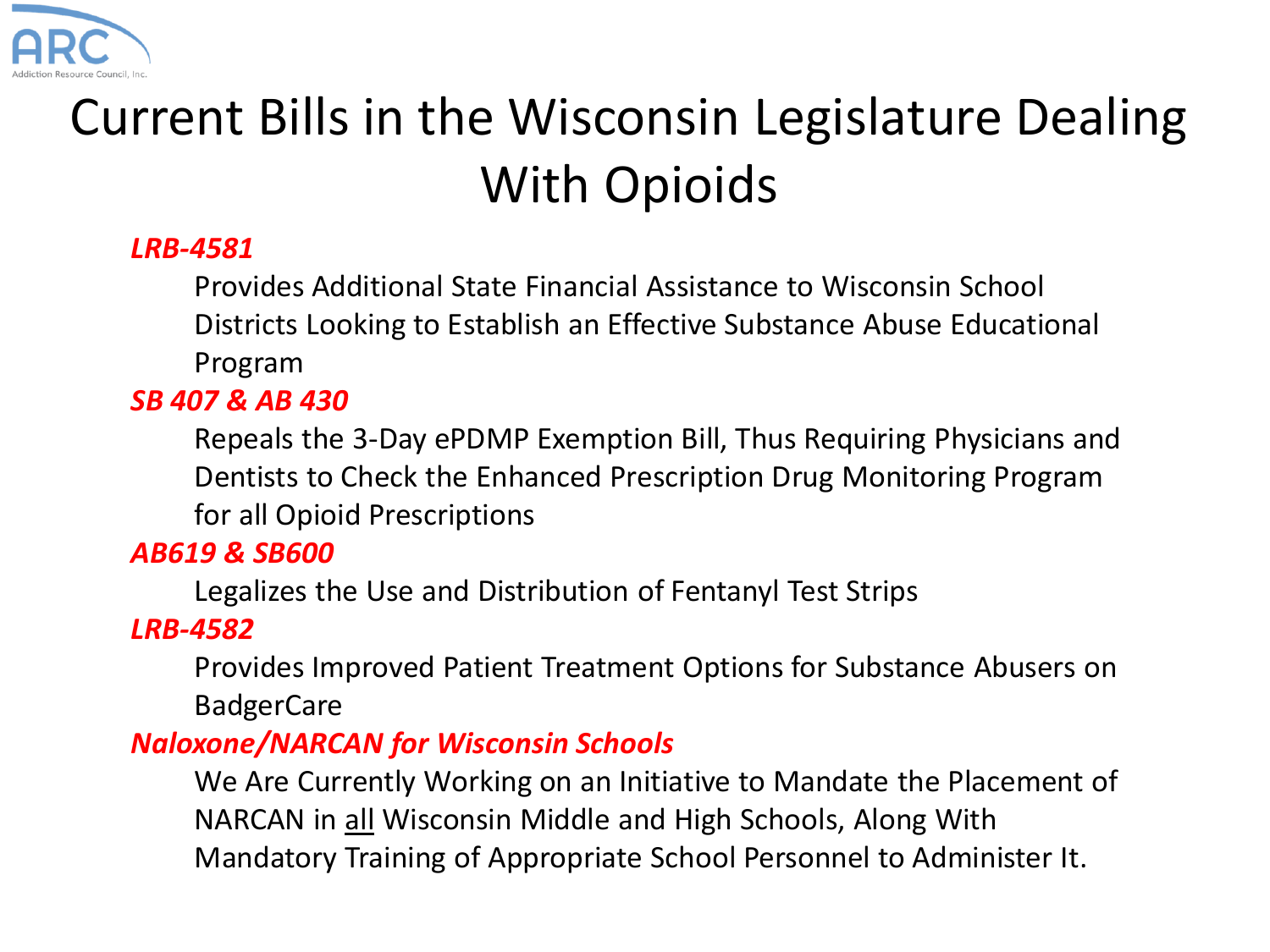

### Current Bills in the Wisconsin Legislature Dealing With Opioids

#### *LRB-4581*

Provides Additional State Financial Assistance to Wisconsin School Districts Looking to Establish an Effective Substance Abuse Educational Program

#### *SB 407 & AB 430*

Repeals the 3-Day ePDMP Exemption Bill, Thus Requiring Physicians and Dentists to Check the Enhanced Prescription Drug Monitoring Program for all Opioid Prescriptions

#### *AB619 & SB600*

Legalizes the Use and Distribution of Fentanyl Test Strips

#### *LRB-4582*

Provides Improved Patient Treatment Options for Substance Abusers on **BadgerCare** 

#### *Naloxone/NARCAN for Wisconsin Schools*

We Are Currently Working on an Initiative to Mandate the Placement of NARCAN in all Wisconsin Middle and High Schools, Along With Mandatory Training of Appropriate School Personnel to Administer It.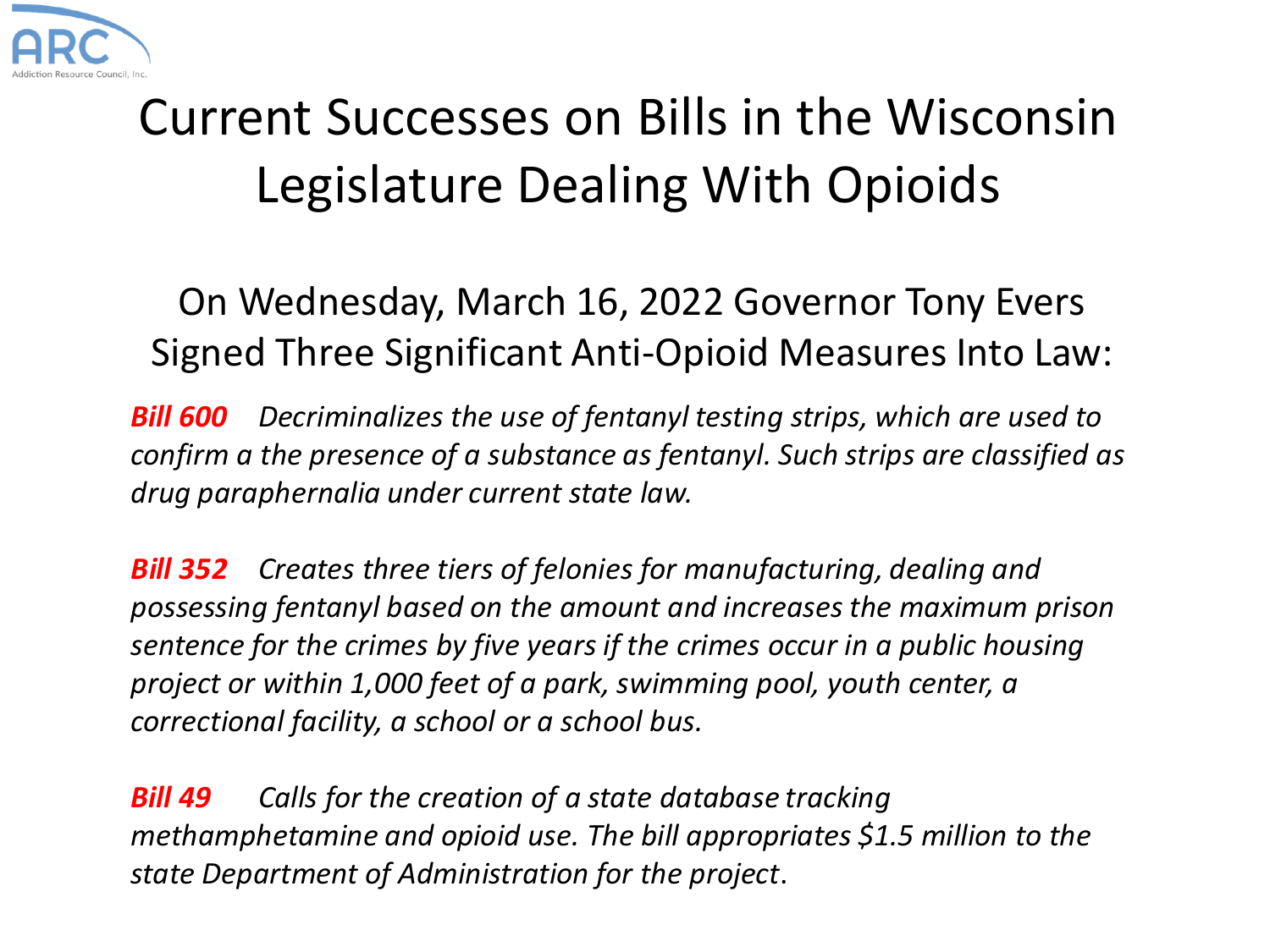

### Current Successes on Bills in the Wisconsin Legislature Dealing With Opioids

On Wednesday, March 16, 2022 Governor Tony Evers Signed Three Significant Anti-Opioid Measures Into Law:

*Bill 600 Decriminalizes the use of fentanyl testing strips, which are used to confirm a the presence of a substance as fentanyl. Such strips are classified as drug paraphernalia under current state law.*

*Bill 352 Creates three tiers of felonies for manufacturing, dealing and possessing fentanyl based on the amount and increases the maximum prison sentence for the crimes by five years if the crimes occur in a public housing project or within 1,000 feet of a park, swimming pool, youth center, a correctional facility, a school or a school bus.*

*Bill 49 Calls for the creation of a state database tracking methamphetamine and opioid use. The bill appropriates \$1.5 million to the state Department of Administration for the project*.